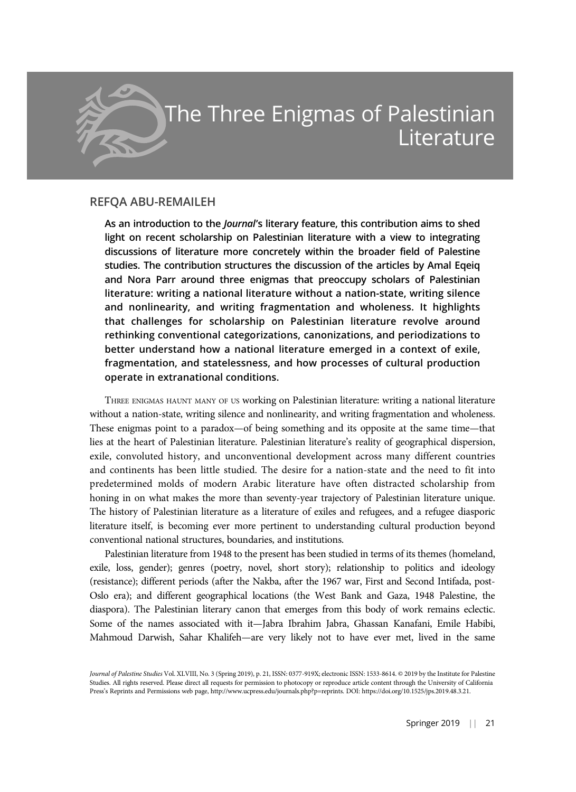

# The Three Enigmas of Palestinian **Literature**

# REFQA ABU-REMAILEH

As an introduction to the Journal's literary feature, this contribution aims to shed light on recent scholarship on Palestinian literature with a view to integrating discussions of literature more concretely within the broader field of Palestine studies. The contribution structures the discussion of the articles by Amal Eqeiq and Nora Parr around three enigmas that preoccupy scholars of Palestinian literature: writing a national literature without a nation-state, writing silence and nonlinearity, and writing fragmentation and wholeness. It highlights that challenges for scholarship on Palestinian literature revolve around rethinking conventional categorizations, canonizations, and periodizations to better understand how a national literature emerged in a context of exile, fragmentation, and statelessness, and how processes of cultural production operate in extranational conditions.

THREE ENIGMAS HAUNT MANY OF US working on Palestinian literature: writing a national literature without a nation-state, writing silence and nonlinearity, and writing fragmentation and wholeness. These enigmas point to a paradox—of being something and its opposite at the same time—that lies at the heart of Palestinian literature. Palestinian literature's reality of geographical dispersion, exile, convoluted history, and unconventional development across many different countries and continents has been little studied. The desire for a nation-state and the need to fit into predetermined molds of modern Arabic literature have often distracted scholarship from honing in on what makes the more than seventy-year trajectory of Palestinian literature unique. The history of Palestinian literature as a literature of exiles and refugees, and a refugee diasporic literature itself, is becoming ever more pertinent to understanding cultural production beyond conventional national structures, boundaries, and institutions.

Palestinian literature from 1948 to the present has been studied in terms of its themes (homeland, exile, loss, gender); genres (poetry, novel, short story); relationship to politics and ideology (resistance); different periods (after the Nakba, after the 1967 war, First and Second Intifada, post-Oslo era); and different geographical locations (the West Bank and Gaza, 1948 Palestine, the diaspora). The Palestinian literary canon that emerges from this body of work remains eclectic. Some of the names associated with it—Jabra Ibrahim Jabra, Ghassan Kanafani, Emile Habibi, Mahmoud Darwish, Sahar Khalifeh—are very likely not to have ever met, lived in the same

Journal of Palestine Studies Vol. XLVIII, No. 3 (Spring 2019), p. 21, ISSN: 0377-919X; electronic ISSN: 1533-8614. © 2019 by the Institute for Palestine Studies. All rights reserved. Please direct all requests for permission to photocopy or reproduce article content through the University of California Press's Reprints and Permissions web page, http://www.ucpress.edu/journals.php?p=reprints. DOI: https://doi.org/10.1525/jps.2019.48.3.21.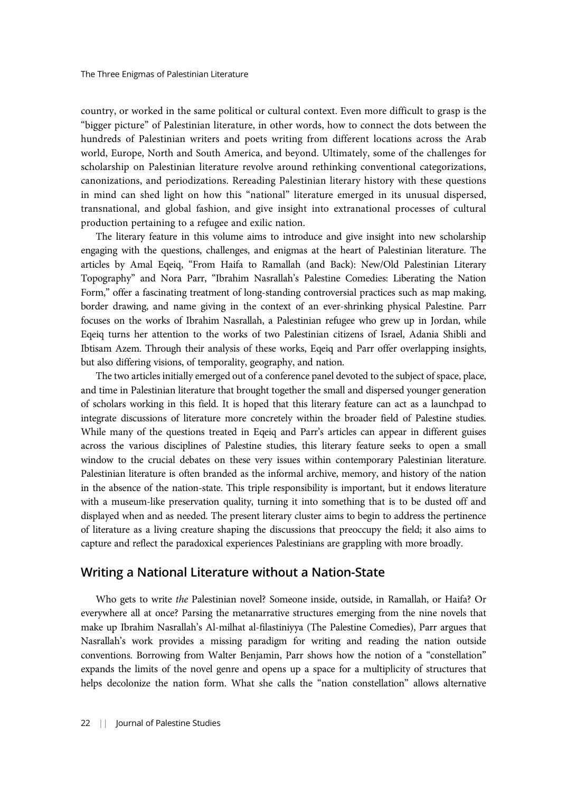country, or worked in the same political or cultural context. Even more difficult to grasp is the "bigger picture" of Palestinian literature, in other words, how to connect the dots between the hundreds of Palestinian writers and poets writing from different locations across the Arab world, Europe, North and South America, and beyond. Ultimately, some of the challenges for scholarship on Palestinian literature revolve around rethinking conventional categorizations, canonizations, and periodizations. Rereading Palestinian literary history with these questions in mind can shed light on how this "national" literature emerged in its unusual dispersed, transnational, and global fashion, and give insight into extranational processes of cultural production pertaining to a refugee and exilic nation.

The literary feature in this volume aims to introduce and give insight into new scholarship engaging with the questions, challenges, and enigmas at the heart of Palestinian literature. The articles by Amal Eqeiq, "From Haifa to Ramallah (and Back): New/Old Palestinian Literary Topography" and Nora Parr, "Ibrahim Nasrallah's Palestine Comedies: Liberating the Nation Form," offer a fascinating treatment of long-standing controversial practices such as map making, border drawing, and name giving in the context of an ever-shrinking physical Palestine. Parr focuses on the works of Ibrahim Nasrallah, a Palestinian refugee who grew up in Jordan, while Eqeiq turns her attention to the works of two Palestinian citizens of Israel, Adania Shibli and Ibtisam Azem. Through their analysis of these works, Eqeiq and Parr offer overlapping insights, but also differing visions, of temporality, geography, and nation.

The two articles initially emerged out of a conference panel devoted to the subject of space, place, and time in Palestinian literature that brought together the small and dispersed younger generation of scholars working in this field. It is hoped that this literary feature can act as a launchpad to integrate discussions of literature more concretely within the broader field of Palestine studies. While many of the questions treated in Eqeiq and Parr's articles can appear in different guises across the various disciplines of Palestine studies, this literary feature seeks to open a small window to the crucial debates on these very issues within contemporary Palestinian literature. Palestinian literature is often branded as the informal archive, memory, and history of the nation in the absence of the nation-state. This triple responsibility is important, but it endows literature with a museum-like preservation quality, turning it into something that is to be dusted off and displayed when and as needed. The present literary cluster aims to begin to address the pertinence of literature as a living creature shaping the discussions that preoccupy the field; it also aims to capture and reflect the paradoxical experiences Palestinians are grappling with more broadly.

### Writing a National Literature without a Nation-State

Who gets to write the Palestinian novel? Someone inside, outside, in Ramallah, or Haifa? Or everywhere all at once? Parsing the metanarrative structures emerging from the nine novels that make up Ibrahim Nasrallah's Al-milhat al-filastiniyya (The Palestine Comedies), Parr argues that Nasrallah's work provides a missing paradigm for writing and reading the nation outside conventions. Borrowing from Walter Benjamin, Parr shows how the notion of a "constellation" expands the limits of the novel genre and opens up a space for a multiplicity of structures that helps decolonize the nation form. What she calls the "nation constellation" allows alternative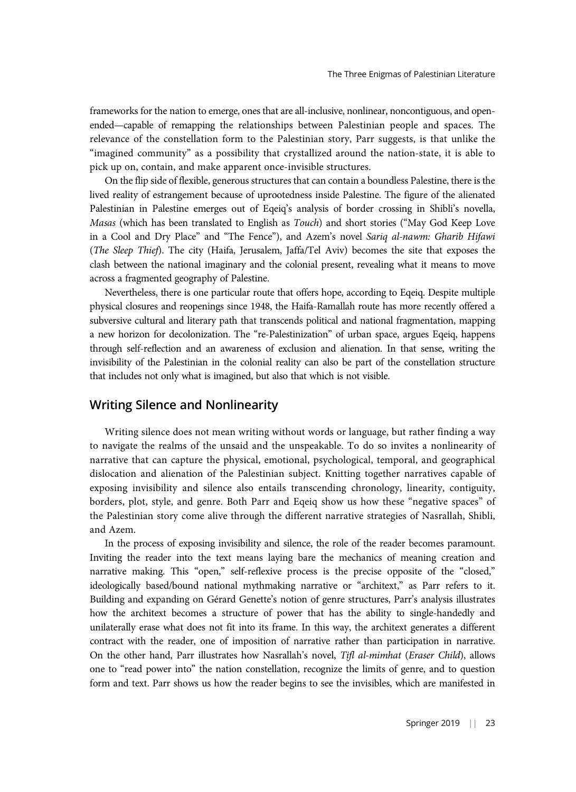frameworks for the nation to emerge, ones that are all-inclusive, nonlinear, noncontiguous, and openended—capable of remapping the relationships between Palestinian people and spaces. The relevance of the constellation form to the Palestinian story, Parr suggests, is that unlike the "imagined community" as a possibility that crystallized around the nation-state, it is able to pick up on, contain, and make apparent once-invisible structures.

On the flip side of flexible, generous structures that can contain a boundless Palestine, there is the lived reality of estrangement because of uprootedness inside Palestine. The figure of the alienated Palestinian in Palestine emerges out of Eqeiq's analysis of border crossing in Shibli's novella, Masas (which has been translated to English as Touch) and short stories ("May God Keep Love in a Cool and Dry Place" and "The Fence"), and Azem's novel Sariq al-nawm: Gharib Hifawi (The Sleep Thief). The city (Haifa, Jerusalem, Jaffa/Tel Aviv) becomes the site that exposes the clash between the national imaginary and the colonial present, revealing what it means to move across a fragmented geography of Palestine.

Nevertheless, there is one particular route that offers hope, according to Eqeiq. Despite multiple physical closures and reopenings since 1948, the Haifa-Ramallah route has more recently offered a subversive cultural and literary path that transcends political and national fragmentation, mapping a new horizon for decolonization. The "re-Palestinization" of urban space, argues Eqeiq, happens through self-reflection and an awareness of exclusion and alienation. In that sense, writing the invisibility of the Palestinian in the colonial reality can also be part of the constellation structure that includes not only what is imagined, but also that which is not visible.

## Writing Silence and Nonlinearity

Writing silence does not mean writing without words or language, but rather finding a way to navigate the realms of the unsaid and the unspeakable. To do so invites a nonlinearity of narrative that can capture the physical, emotional, psychological, temporal, and geographical dislocation and alienation of the Palestinian subject. Knitting together narratives capable of exposing invisibility and silence also entails transcending chronology, linearity, contiguity, borders, plot, style, and genre. Both Parr and Eqeiq show us how these "negative spaces" of the Palestinian story come alive through the different narrative strategies of Nasrallah, Shibli, and Azem.

In the process of exposing invisibility and silence, the role of the reader becomes paramount. Inviting the reader into the text means laying bare the mechanics of meaning creation and narrative making. This "open," self-reflexive process is the precise opposite of the "closed," ideologically based/bound national mythmaking narrative or "architext," as Parr refers to it. Building and expanding on Gérard Genette's notion of genre structures, Parr's analysis illustrates how the architext becomes a structure of power that has the ability to single-handedly and unilaterally erase what does not fit into its frame. In this way, the architext generates a different contract with the reader, one of imposition of narrative rather than participation in narrative. On the other hand, Parr illustrates how Nasrallah's novel, Tifl al-mimhat (Eraser Child), allows one to "read power into" the nation constellation, recognize the limits of genre, and to question form and text. Parr shows us how the reader begins to see the invisibles, which are manifested in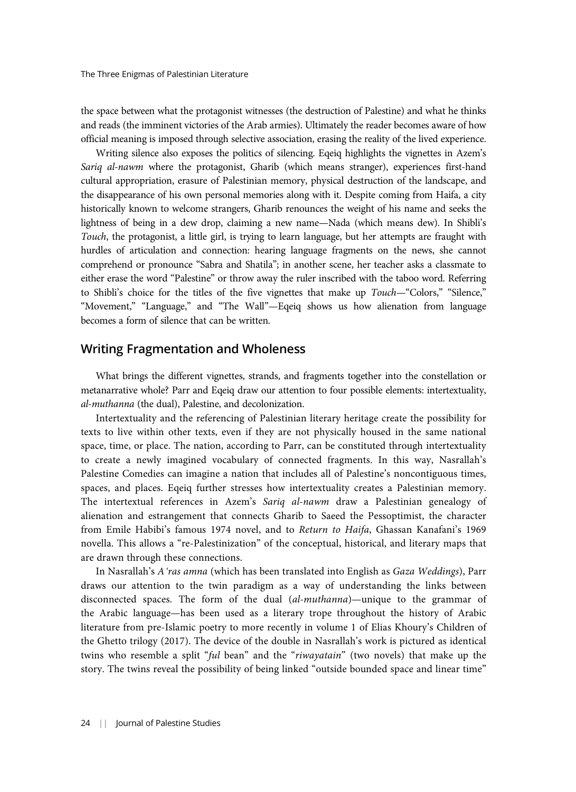The Three Enigmas of Palestinian Literature

the space between what the protagonist witnesses (the destruction of Palestine) and what he thinks and reads (the imminent victories of the Arab armies). Ultimately the reader becomes aware of how official meaning is imposed through selective association, erasing the reality of the lived experience.

Writing silence also exposes the politics of silencing. Eqeiq highlights the vignettes in Azem's Sariq al-nawm where the protagonist, Gharib (which means stranger), experiences first-hand cultural appropriation, erasure of Palestinian memory, physical destruction of the landscape, and the disappearance of his own personal memories along with it. Despite coming from Haifa, a city historically known to welcome strangers, Gharib renounces the weight of his name and seeks the lightness of being in a dew drop, claiming a new name—Nada (which means dew). In Shibli's Touch, the protagonist, a little girl, is trying to learn language, but her attempts are fraught with hurdles of articulation and connection: hearing language fragments on the news, she cannot comprehend or pronounce "Sabra and Shatila"; in another scene, her teacher asks a classmate to either erase the word "Palestine" or throw away the ruler inscribed with the taboo word. Referring to Shibli's choice for the titles of the five vignettes that make up Touch—"Colors," "Silence," "Movement," "Language," and "The Wall"—Eqeiq shows us how alienation from language becomes a form of silence that can be written.

### Writing Fragmentation and Wholeness

What brings the different vignettes, strands, and fragments together into the constellation or metanarrative whole? Parr and Eqeiq draw our attention to four possible elements: intertextuality, al-muthanna (the dual), Palestine, and decolonization.

Intertextuality and the referencing of Palestinian literary heritage create the possibility for texts to live within other texts, even if they are not physically housed in the same national space, time, or place. The nation, according to Parr, can be constituted through intertextuality to create a newly imagined vocabulary of connected fragments. In this way, Nasrallah's Palestine Comedies can imagine a nation that includes all of Palestine's noncontiguous times, spaces, and places. Eqeiq further stresses how intertextuality creates a Palestinian memory. The intertextual references in Azem's Sariq al-nawm draw a Palestinian genealogy of alienation and estrangement that connects Gharib to Saeed the Pessoptimist, the character from Emile Habibi's famous 1974 novel, and to Return to Haifa, Ghassan Kanafani's 1969 novella. This allows a "re-Palestinization" of the conceptual, historical, and literary maps that are drawn through these connections.

In Nasrallah's Aʻras amna (which has been translated into English as Gaza Weddings), Parr draws our attention to the twin paradigm as a way of understanding the links between disconnected spaces. The form of the dual (al-muthanna)—unique to the grammar of the Arabic language—has been used as a literary trope throughout the history of Arabic literature from pre-Islamic poetry to more recently in volume 1 of Elias Khoury's Children of the Ghetto trilogy (2017). The device of the double in Nasrallah's work is pictured as identical twins who resemble a split "ful bean" and the "riwayatain" (two novels) that make up the story. The twins reveal the possibility of being linked "outside bounded space and linear time"